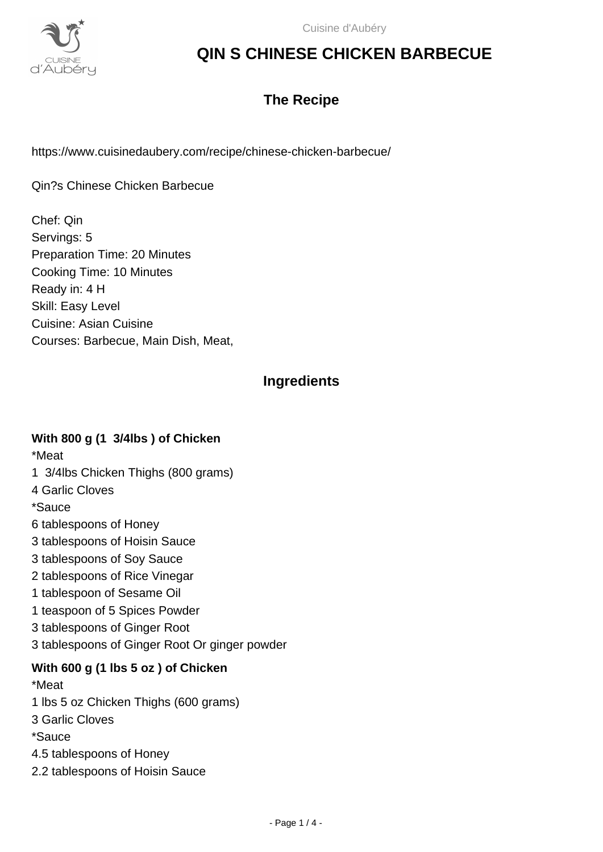

### **The Recipe**

https://www.cuisinedaubery.com/recipe/chinese-chicken-barbecue/

Qin?s Chinese Chicken Barbecue

Chef: Qin Servings: 5 Preparation Time: 20 Minutes Cooking Time: 10 Minutes Ready in: 4 H Skill: Easy Level Cuisine: Asian Cuisine Courses: Barbecue, Main Dish, Meat,

### **Ingredients**

#### **With 800 g (1 3/4lbs ) of Chicken**

\*Meat

1 3/4lbs Chicken Thighs (800 grams)

4 Garlic Cloves

\*Sauce

- 6 tablespoons of Honey
- 3 tablespoons of Hoisin Sauce
- 3 tablespoons of Soy Sauce
- 2 tablespoons of Rice Vinegar
- 1 tablespoon of Sesame Oil
- 1 teaspoon of 5 Spices Powder
- 3 tablespoons of Ginger Root
- 3 tablespoons of Ginger Root Or ginger powder

#### **With 600 g (1 lbs 5 oz ) of Chicken**

\*Meat 1 lbs 5 oz Chicken Thighs (600 grams) 3 Garlic Cloves \*Sauce 4.5 tablespoons of Honey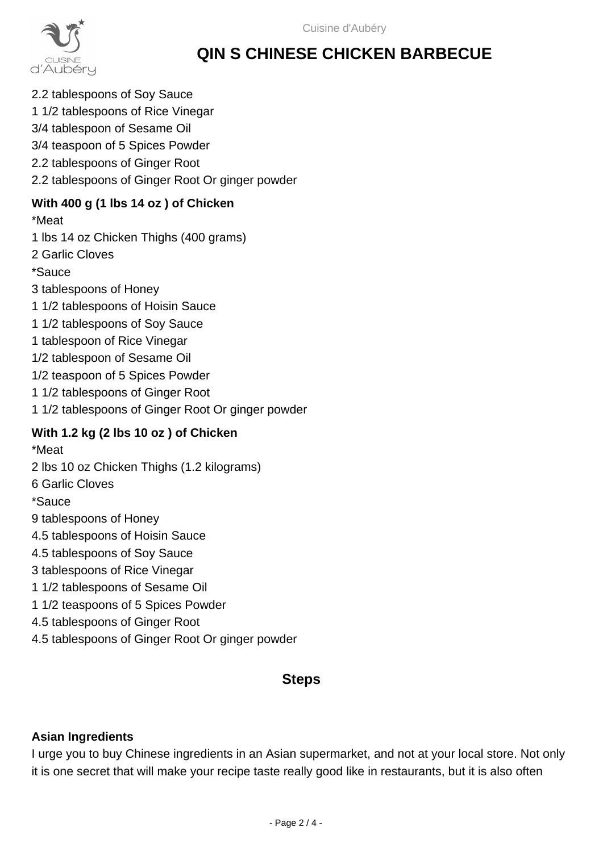

- 2.2 tablespoons of Soy Sauce
- 1 1/2 tablespoons of Rice Vinegar
- 3/4 tablespoon of Sesame Oil
- 3/4 teaspoon of 5 Spices Powder
- 2.2 tablespoons of Ginger Root
- 2.2 tablespoons of Ginger Root Or ginger powder

### **With 400 g (1 lbs 14 oz ) of Chicken**

\*Meat

- 1 lbs 14 oz Chicken Thighs (400 grams)
- 2 Garlic Cloves

\*Sauce

- 3 tablespoons of Honey
- 1 1/2 tablespoons of Hoisin Sauce
- 1 1/2 tablespoons of Soy Sauce
- 1 tablespoon of Rice Vinegar
- 1/2 tablespoon of Sesame Oil
- 1/2 teaspoon of 5 Spices Powder
- 1 1/2 tablespoons of Ginger Root
- 1 1/2 tablespoons of Ginger Root Or ginger powder

#### **With 1.2 kg (2 lbs 10 oz ) of Chicken**

\*Meat

- 2 lbs 10 oz Chicken Thighs (1.2 kilograms)
- 6 Garlic Cloves

\*Sauce

- 9 tablespoons of Honey
- 4.5 tablespoons of Hoisin Sauce
- 4.5 tablespoons of Soy Sauce
- 3 tablespoons of Rice Vinegar
- 1 1/2 tablespoons of Sesame Oil
- 1 1/2 teaspoons of 5 Spices Powder
- 4.5 tablespoons of Ginger Root
- 4.5 tablespoons of Ginger Root Or ginger powder

### **Steps**

#### **Asian Ingredients**

I urge you to buy Chinese ingredients in an Asian supermarket, and not at your local store. Not only it is one secret that will make your recipe taste really good like in restaurants, but it is also often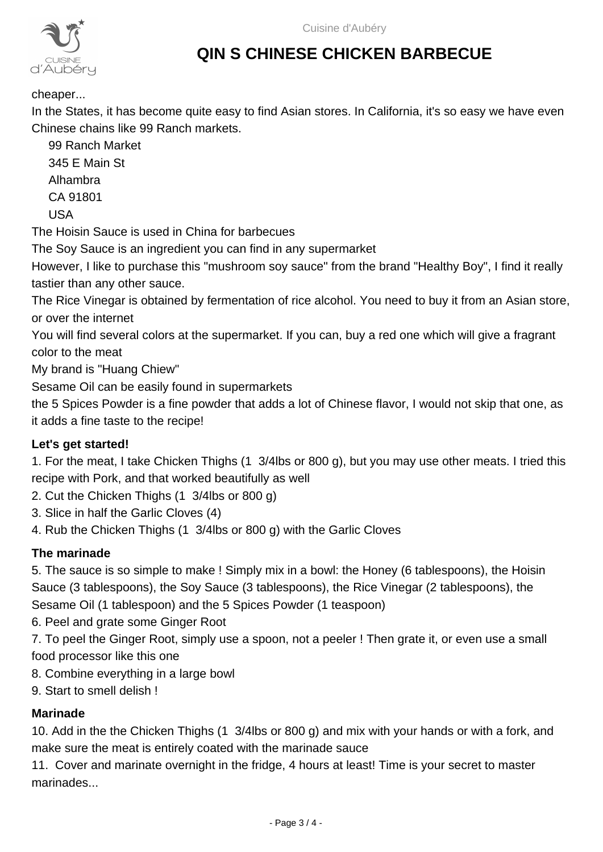

cheaper...

In the States, it has become quite easy to find Asian stores. In California, it's so easy we have even Chinese chains like 99 Ranch markets.

 99 Ranch Market 345 E Main St Alhambra CA 91801 USA

The Hoisin Sauce is used in China for barbecues

The Soy Sauce is an ingredient you can find in any supermarket

However, I like to purchase this "mushroom soy sauce" from the brand "Healthy Boy", I find it really tastier than any other sauce.

The Rice Vinegar is obtained by fermentation of rice alcohol. You need to buy it from an Asian store, or over the internet

You will find several colors at the supermarket. If you can, buy a red one which will give a fragrant color to the meat

My brand is "Huang Chiew"

Sesame Oil can be easily found in supermarkets

the 5 Spices Powder is a fine powder that adds a lot of Chinese flavor, I would not skip that one, as it adds a fine taste to the recipe!

#### **Let's get started!**

1. For the meat, I take Chicken Thighs (1 3/4lbs or 800 g), but you may use other meats. I tried this recipe with Pork, and that worked beautifully as well

2. Cut the Chicken Thighs (1 3/4lbs or 800 g)

3. Slice in half the Garlic Cloves (4)

4. Rub the Chicken Thighs (1 3/4lbs or 800 g) with the Garlic Cloves

#### **The marinade**

5. The sauce is so simple to make ! Simply mix in a bowl: the Honey (6 tablespoons), the Hoisin Sauce (3 tablespoons), the Soy Sauce (3 tablespoons), the Rice Vinegar (2 tablespoons), the Sesame Oil (1 tablespoon) and the 5 Spices Powder (1 teaspoon)

6. Peel and grate some Ginger Root

7. To peel the Ginger Root, simply use a spoon, not a peeler ! Then grate it, or even use a small food processor like this one

8. Combine everything in a large bowl

9. Start to smell delish !

#### **Marinade**

10. Add in the the Chicken Thighs (1 3/4lbs or 800 g) and mix with your hands or with a fork, and make sure the meat is entirely coated with the marinade sauce

11. Cover and marinate overnight in the fridge, 4 hours at least! Time is your secret to master marinades...